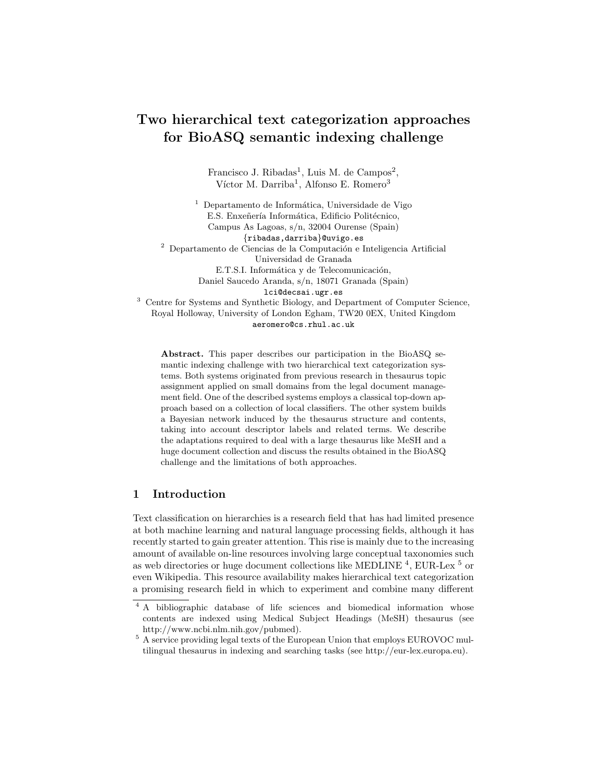# Two hierarchical text categorization approaches for BioASQ semantic indexing challenge

Francisco J. Ribadas<sup>1</sup>, Luis M. de Campos<sup>2</sup>, Víctor M. Darriba<sup>1</sup>, Alfonso E. Romero<sup>3</sup>

 $<sup>1</sup>$  Departamento de Informática, Universidade de Vigo</sup> E.S. Enxeñería Informática, Edificio Politécnico, Campus As Lagoas, s/n, 32004 Ourense (Spain) {ribadas,darriba}@uvigo.es  $^{\rm 2}$  Departamento de Ciencias de la Computación e Inteligencia Artificial Universidad de Granada E.T.S.I. Informática y de Telecomunicación, Daniel Saucedo Aranda, s/n, 18071 Granada (Spain) lci@decsai.ugr.es <sup>3</sup> Centre for Systems and Synthetic Biology, and Department of Computer Science,

Royal Holloway, University of London Egham, TW20 0EX, United Kingdom aeromero@cs.rhul.ac.uk

Abstract. This paper describes our participation in the BioASQ semantic indexing challenge with two hierarchical text categorization systems. Both systems originated from previous research in thesaurus topic assignment applied on small domains from the legal document management field. One of the described systems employs a classical top-down approach based on a collection of local classifiers. The other system builds a Bayesian network induced by the thesaurus structure and contents, taking into account descriptor labels and related terms. We describe the adaptations required to deal with a large thesaurus like MeSH and a huge document collection and discuss the results obtained in the BioASQ challenge and the limitations of both approaches.

# 1 Introduction

Text classification on hierarchies is a research field that has had limited presence at both machine learning and natural language processing fields, although it has recently started to gain greater attention. This rise is mainly due to the increasing amount of available on-line resources involving large conceptual taxonomies such as web directories or huge document collections like MEDLINE  $^{4}$ , EUR-Lex  $^{5}$  or even Wikipedia. This resource availability makes hierarchical text categorization a promising research field in which to experiment and combine many different

<sup>&</sup>lt;sup>4</sup> A bibliographic database of life sciences and biomedical information whose contents are indexed using Medical Subject Headings (MeSH) thesaurus (see http://www.ncbi.nlm.nih.gov/pubmed).

 $^5$  A service providing legal texts of the European Union that employs EUROVOC multilingual thesaurus in indexing and searching tasks (see http://eur-lex.europa.eu).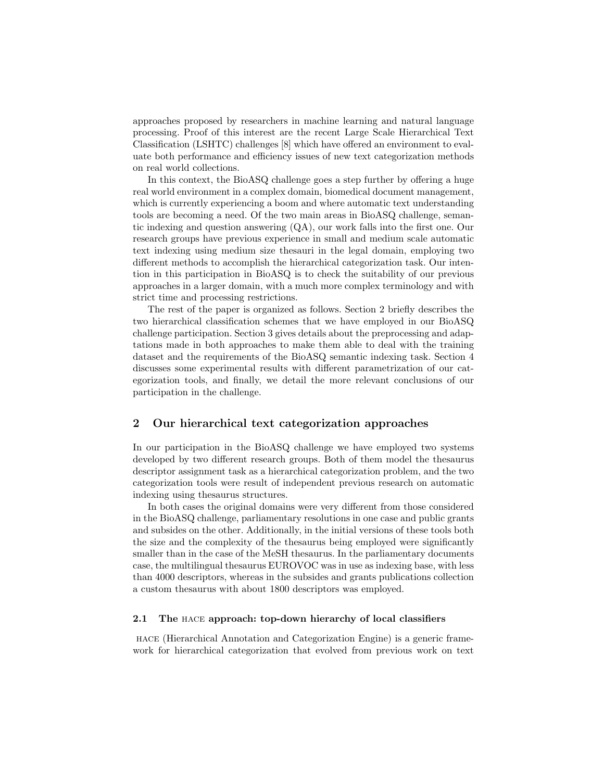approaches proposed by researchers in machine learning and natural language processing. Proof of this interest are the recent Large Scale Hierarchical Text Classification (LSHTC) challenges [8] which have offered an environment to evaluate both performance and efficiency issues of new text categorization methods on real world collections.

In this context, the BioASQ challenge goes a step further by offering a huge real world environment in a complex domain, biomedical document management, which is currently experiencing a boom and where automatic text understanding tools are becoming a need. Of the two main areas in BioASQ challenge, semantic indexing and question answering (QA), our work falls into the first one. Our research groups have previous experience in small and medium scale automatic text indexing using medium size thesauri in the legal domain, employing two different methods to accomplish the hierarchical categorization task. Our intention in this participation in BioASQ is to check the suitability of our previous approaches in a larger domain, with a much more complex terminology and with strict time and processing restrictions.

The rest of the paper is organized as follows. Section 2 briefly describes the two hierarchical classification schemes that we have employed in our BioASQ challenge participation. Section 3 gives details about the preprocessing and adaptations made in both approaches to make them able to deal with the training dataset and the requirements of the BioASQ semantic indexing task. Section 4 discusses some experimental results with different parametrization of our categorization tools, and finally, we detail the more relevant conclusions of our participation in the challenge.

# 2 Our hierarchical text categorization approaches

In our participation in the BioASQ challenge we have employed two systems developed by two different research groups. Both of them model the thesaurus descriptor assignment task as a hierarchical categorization problem, and the two categorization tools were result of independent previous research on automatic indexing using thesaurus structures.

In both cases the original domains were very different from those considered in the BioASQ challenge, parliamentary resolutions in one case and public grants and subsides on the other. Additionally, in the initial versions of these tools both the size and the complexity of the thesaurus being employed were significantly smaller than in the case of the MeSH thesaurus. In the parliamentary documents case, the multilingual thesaurus EUROVOC was in use as indexing base, with less than 4000 descriptors, whereas in the subsides and grants publications collection a custom thesaurus with about 1800 descriptors was employed.

#### 2.1 The hace approach: top-down hierarchy of local classifiers

hace (Hierarchical Annotation and Categorization Engine) is a generic framework for hierarchical categorization that evolved from previous work on text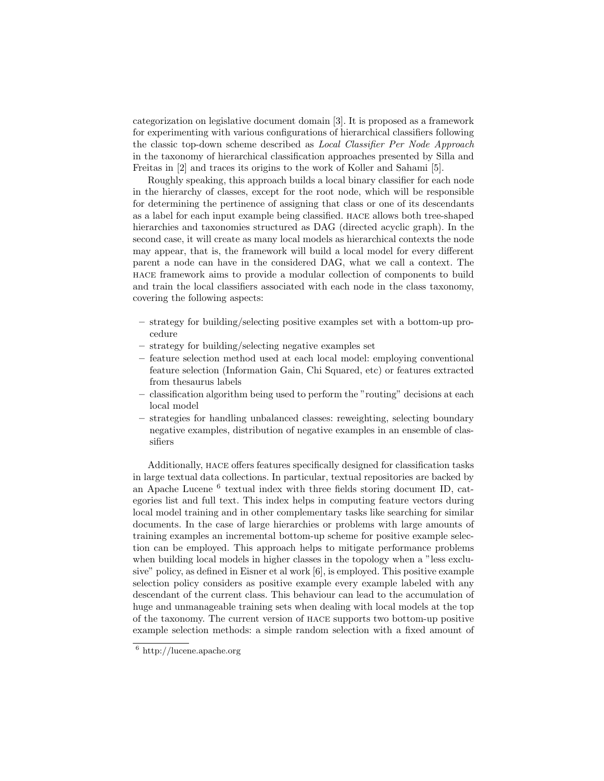categorization on legislative document domain [3]. It is proposed as a framework for experimenting with various configurations of hierarchical classifiers following the classic top-down scheme described as Local Classifier Per Node Approach in the taxonomy of hierarchical classification approaches presented by Silla and Freitas in [2] and traces its origins to the work of Koller and Sahami [5].

Roughly speaking, this approach builds a local binary classifier for each node in the hierarchy of classes, except for the root node, which will be responsible for determining the pertinence of assigning that class or one of its descendants as a label for each input example being classified. hace allows both tree-shaped hierarchies and taxonomies structured as DAG (directed acyclic graph). In the second case, it will create as many local models as hierarchical contexts the node may appear, that is, the framework will build a local model for every different parent a node can have in the considered DAG, what we call a context. The hace framework aims to provide a modular collection of components to build and train the local classifiers associated with each node in the class taxonomy, covering the following aspects:

- strategy for building/selecting positive examples set with a bottom-up procedure
- strategy for building/selecting negative examples set
- feature selection method used at each local model: employing conventional feature selection (Information Gain, Chi Squared, etc) or features extracted from thesaurus labels
- classification algorithm being used to perform the "routing" decisions at each local model
- strategies for handling unbalanced classes: reweighting, selecting boundary negative examples, distribution of negative examples in an ensemble of classifiers

Additionally, hace offers features specifically designed for classification tasks in large textual data collections. In particular, textual repositories are backed by an Apache Lucene<sup>6</sup> textual index with three fields storing document ID, categories list and full text. This index helps in computing feature vectors during local model training and in other complementary tasks like searching for similar documents. In the case of large hierarchies or problems with large amounts of training examples an incremental bottom-up scheme for positive example selection can be employed. This approach helps to mitigate performance problems when building local models in higher classes in the topology when a "less exclusive" policy, as defined in Eisner et al work [6], is employed. This positive example selection policy considers as positive example every example labeled with any descendant of the current class. This behaviour can lead to the accumulation of huge and unmanageable training sets when dealing with local models at the top of the taxonomy. The current version of hace supports two bottom-up positive example selection methods: a simple random selection with a fixed amount of

 $\frac{6}{6}$  http://lucene.apache.org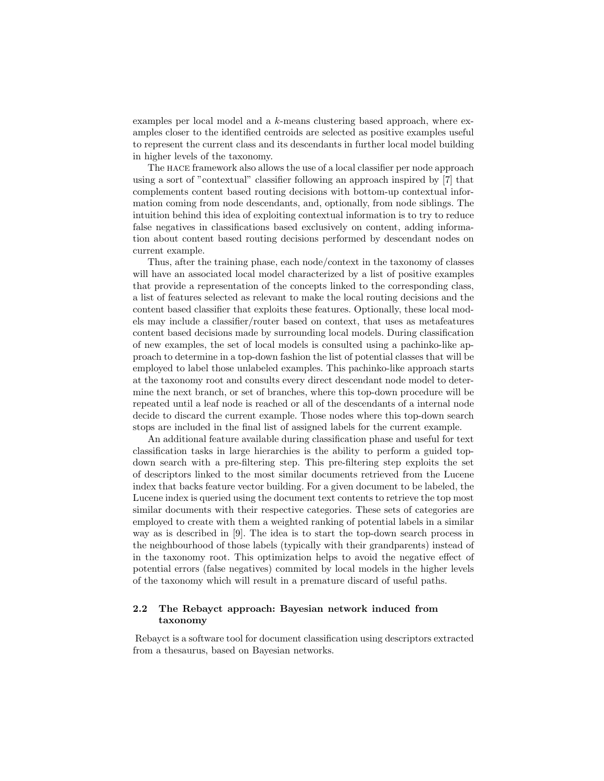examples per local model and a k-means clustering based approach, where examples closer to the identified centroids are selected as positive examples useful to represent the current class and its descendants in further local model building in higher levels of the taxonomy.

The hace framework also allows the use of a local classifier per node approach using a sort of "contextual" classifier following an approach inspired by [7] that complements content based routing decisions with bottom-up contextual information coming from node descendants, and, optionally, from node siblings. The intuition behind this idea of exploiting contextual information is to try to reduce false negatives in classifications based exclusively on content, adding information about content based routing decisions performed by descendant nodes on current example.

Thus, after the training phase, each node/context in the taxonomy of classes will have an associated local model characterized by a list of positive examples that provide a representation of the concepts linked to the corresponding class, a list of features selected as relevant to make the local routing decisions and the content based classifier that exploits these features. Optionally, these local models may include a classifier/router based on context, that uses as metafeatures content based decisions made by surrounding local models. During classification of new examples, the set of local models is consulted using a pachinko-like approach to determine in a top-down fashion the list of potential classes that will be employed to label those unlabeled examples. This pachinko-like approach starts at the taxonomy root and consults every direct descendant node model to determine the next branch, or set of branches, where this top-down procedure will be repeated until a leaf node is reached or all of the descendants of a internal node decide to discard the current example. Those nodes where this top-down search stops are included in the final list of assigned labels for the current example.

An additional feature available during classification phase and useful for text classification tasks in large hierarchies is the ability to perform a guided topdown search with a pre-filtering step. This pre-filtering step exploits the set of descriptors linked to the most similar documents retrieved from the Lucene index that backs feature vector building. For a given document to be labeled, the Lucene index is queried using the document text contents to retrieve the top most similar documents with their respective categories. These sets of categories are employed to create with them a weighted ranking of potential labels in a similar way as is described in [9]. The idea is to start the top-down search process in the neighbourhood of those labels (typically with their grandparents) instead of in the taxonomy root. This optimization helps to avoid the negative effect of potential errors (false negatives) commited by local models in the higher levels of the taxonomy which will result in a premature discard of useful paths.

## 2.2 The Rebayct approach: Bayesian network induced from taxonomy

Rebayct is a software tool for document classification using descriptors extracted from a thesaurus, based on Bayesian networks.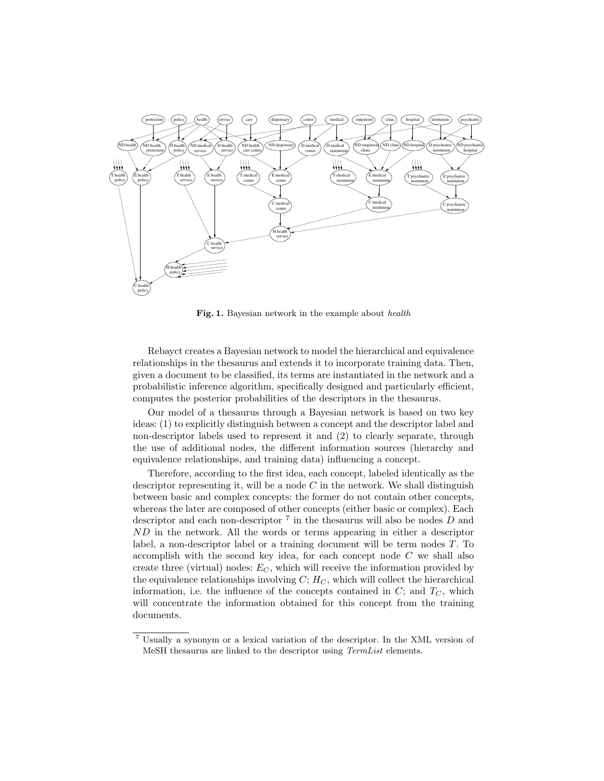

Fig. 1. Bayesian network in the example about health

Rebayct creates a Bayesian network to model the hierarchical and equivalence relationships in the thesaurus and extends it to incorporate training data. Then, given a document to be classified, its terms are instantiated in the network and a probabilistic inference algorithm, specifically designed and particularly efficient, computes the posterior probabilities of the descriptors in the thesaurus.

Our model of a thesaurus through a Bayesian network is based on two key ideas: (1) to explicitly distinguish between a concept and the descriptor label and non-descriptor labels used to represent it and (2) to clearly separate, through the use of additional nodes, the different information sources (hierarchy and equivalence relationships, and training data) influencing a concept.

Therefore, according to the first idea, each concept, labeled identically as the descriptor representing it, will be a node  $C$  in the network. We shall distinguish between basic and complex concepts: the former do not contain other concepts, whereas the later are composed of other concepts (either basic or complex). Each descriptor and each non-descriptor  $7$  in the thesaurus will also be nodes  $D$  and ND in the network. All the words or terms appearing in either a descriptor label, a non-descriptor label or a training document will be term nodes T. To accomplish with the second key idea, for each concept node  $C$  we shall also create three (virtual) nodes:  $E_C$ , which will receive the information provided by the equivalence relationships involving  $C$ ;  $H_C$ , which will collect the hierarchical information, i.e. the influence of the concepts contained in  $C$ ; and  $T_C$ , which will concentrate the information obtained for this concept from the training documents.

<sup>7</sup> Usually a synonym or a lexical variation of the descriptor. In the XML version of MeSH thesaurus are linked to the descriptor using TermList elements.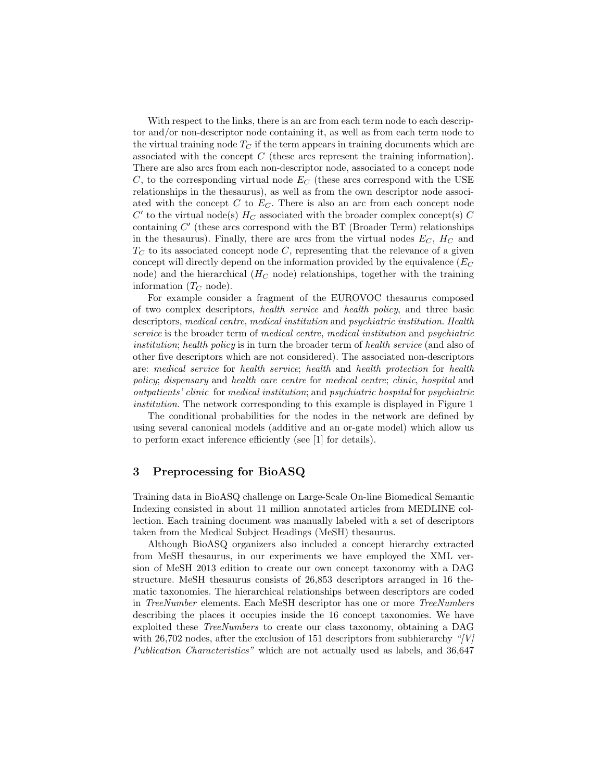With respect to the links, there is an arc from each term node to each descriptor and/or non-descriptor node containing it, as well as from each term node to the virtual training node  $T_C$  if the term appears in training documents which are associated with the concept  $C$  (these arcs represent the training information). There are also arcs from each non-descriptor node, associated to a concept node C, to the corresponding virtual node  $E_C$  (these arcs correspond with the USE relationships in the thesaurus), as well as from the own descriptor node associated with the concept  $C$  to  $E_C$ . There is also an arc from each concept node  $C'$  to the virtual node(s)  $H_C$  associated with the broader complex concept(s)  $C$ containing  $C'$  (these arcs correspond with the BT (Broader Term) relationships in the thesaurus). Finally, there are arcs from the virtual nodes  $E_C$ ,  $H_C$  and  $T<sub>C</sub>$  to its associated concept node C, representing that the relevance of a given concept will directly depend on the information provided by the equivalence  $(E_C)$ node) and the hierarchical  $(H_C \text{ node})$  relationships, together with the training information  $(T_C \text{ node}).$ 

For example consider a fragment of the EUROVOC thesaurus composed of two complex descriptors, health service and health policy, and three basic descriptors, medical centre, medical institution and psychiatric institution. Health service is the broader term of medical centre, medical institution and psychiatric institution; health policy is in turn the broader term of health service (and also of other five descriptors which are not considered). The associated non-descriptors are: medical service for health service; health and health protection for health policy; dispensary and health care centre for medical centre; clinic, hospital and outpatients' clinic for medical institution; and psychiatric hospital for psychiatric institution. The network corresponding to this example is displayed in Figure 1

The conditional probabilities for the nodes in the network are defined by using several canonical models (additive and an or-gate model) which allow us to perform exact inference efficiently (see [1] for details).

# 3 Preprocessing for BioASQ

Training data in BioASQ challenge on Large-Scale On-line Biomedical Semantic Indexing consisted in about 11 million annotated articles from MEDLINE collection. Each training document was manually labeled with a set of descriptors taken from the Medical Subject Headings (MeSH) thesaurus.

Although BioASQ organizers also included a concept hierarchy extracted from MeSH thesaurus, in our experiments we have employed the XML version of MeSH 2013 edition to create our own concept taxonomy with a DAG structure. MeSH thesaurus consists of 26,853 descriptors arranged in 16 thematic taxonomies. The hierarchical relationships between descriptors are coded in TreeNumber elements. Each MeSH descriptor has one or more TreeNumbers describing the places it occupies inside the 16 concept taxonomies. We have exploited these TreeNumbers to create our class taxonomy, obtaining a DAG with 26,702 nodes, after the exclusion of 151 descriptors from subhierarchy " $|V|$ Publication Characteristics" which are not actually used as labels, and 36,647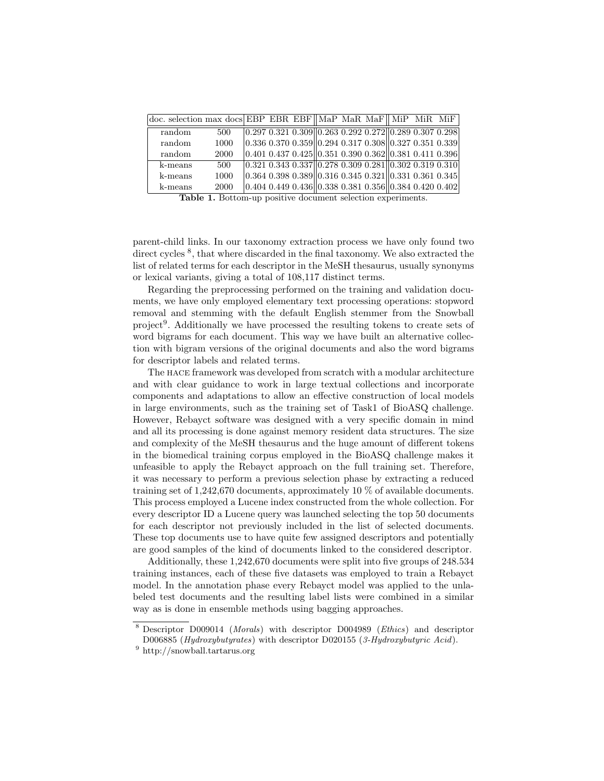| doc. selection max docs EBP EBR EBF MaP MaR MaF MiP MiR MiF |      |  |  |                                                                            |  |  |
|-------------------------------------------------------------|------|--|--|----------------------------------------------------------------------------|--|--|
| random                                                      | 500  |  |  | $[0.297 0.321 0.309]$ $[0.263 0.292 0.272]$ $[0.289 0.307 0.298]$          |  |  |
| random                                                      | 1000 |  |  | $ 0.336\;0.370\;0.359  0.294\;0.317\;0.308  0.327\;0.351\;0.339 $          |  |  |
| random                                                      | 2000 |  |  | $ 0.401\; 0.437\; 0.425\  0.351\; 0.390\; 0.362\  0.381\; 0.411\; 0.396\ $ |  |  |
| k-means                                                     | 500  |  |  | $ 0.321\;0.343\;0.337  0.278\;0.309\;0.281  0.302\;0.319\;0.310 $          |  |  |
| k-means                                                     | 1000 |  |  | $ 0.364\;0.398\;0.389  0.316\;0.345\;0.321  0.331\;0.361\;0.345 $          |  |  |
| k-means                                                     | 2000 |  |  | $ 0.404 0.449 0.436  0.338 0.381 0.356  0.384 0.420 0.402 $                |  |  |

Table 1. Bottom-up positive document selection experiments.

parent-child links. In our taxonomy extraction process we have only found two direct cycles <sup>8</sup>, that where discarded in the final taxonomy. We also extracted the list of related terms for each descriptor in the MeSH thesaurus, usually synonyms or lexical variants, giving a total of 108,117 distinct terms.

Regarding the preprocessing performed on the training and validation documents, we have only employed elementary text processing operations: stopword removal and stemming with the default English stemmer from the Snowball project<sup>9</sup>. Additionally we have processed the resulting tokens to create sets of word bigrams for each document. This way we have built an alternative collection with bigram versions of the original documents and also the word bigrams for descriptor labels and related terms.

The hace framework was developed from scratch with a modular architecture and with clear guidance to work in large textual collections and incorporate components and adaptations to allow an effective construction of local models in large environments, such as the training set of Task1 of BioASQ challenge. However, Rebayct software was designed with a very specific domain in mind and all its processing is done against memory resident data structures. The size and complexity of the MeSH thesaurus and the huge amount of different tokens in the biomedical training corpus employed in the BioASQ challenge makes it unfeasible to apply the Rebayct approach on the full training set. Therefore, it was necessary to perform a previous selection phase by extracting a reduced training set of 1,242,670 documents, approximately 10 % of available documents. This process employed a Lucene index constructed from the whole collection. For every descriptor ID a Lucene query was launched selecting the top 50 documents for each descriptor not previously included in the list of selected documents. These top documents use to have quite few assigned descriptors and potentially are good samples of the kind of documents linked to the considered descriptor.

Additionally, these 1,242,670 documents were split into five groups of 248.534 training instances, each of these five datasets was employed to train a Rebayct model. In the annotation phase every Rebayct model was applied to the unlabeled test documents and the resulting label lists were combined in a similar way as is done in ensemble methods using bagging approaches.

<sup>8</sup> Descriptor D009014 (Morals) with descriptor D004989 (Ethics) and descriptor D006885 (Hydroxybutyrates) with descriptor D020155 (3-Hydroxybutyric Acid).

<sup>9</sup> http://snowball.tartarus.org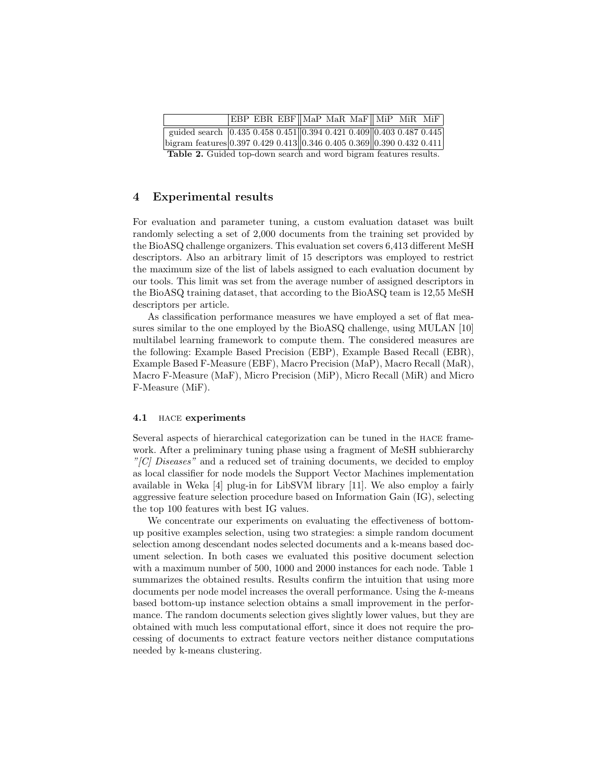|                                                                                                                  |  |  |  |  |  | EBP EBR EBF MaP MaR MaF MiP MiR MiF |  |  |  |  |  |
|------------------------------------------------------------------------------------------------------------------|--|--|--|--|--|-------------------------------------|--|--|--|--|--|
| guided search $\left 0.435\ 0.458\ 0.451\right \left 0.394\ 0.421\ 0.409\right \left 0.403\ 0.487\ 0.445\right $ |  |  |  |  |  |                                     |  |  |  |  |  |
| bigram features 0.397 0.429 0.413 0.346 0.405 0.369 0.390 0.432 0.411                                            |  |  |  |  |  |                                     |  |  |  |  |  |
| <b>Table 2.</b> Guided top-down search and word bigram features results.                                         |  |  |  |  |  |                                     |  |  |  |  |  |

# 4 Experimental results

For evaluation and parameter tuning, a custom evaluation dataset was built randomly selecting a set of 2,000 documents from the training set provided by the BioASQ challenge organizers. This evaluation set covers 6,413 different MeSH descriptors. Also an arbitrary limit of 15 descriptors was employed to restrict the maximum size of the list of labels assigned to each evaluation document by our tools. This limit was set from the average number of assigned descriptors in the BioASQ training dataset, that according to the BioASQ team is 12,55 MeSH descriptors per article.

As classification performance measures we have employed a set of flat measures similar to the one employed by the BioASQ challenge, using MULAN [10] multilabel learning framework to compute them. The considered measures are the following: Example Based Precision (EBP), Example Based Recall (EBR), Example Based F-Measure (EBF), Macro Precision (MaP), Macro Recall (MaR), Macro F-Measure (MaF), Micro Precision (MiP), Micro Recall (MiR) and Micro F-Measure (MiF).

#### 4.1 hace experiments

Several aspects of hierarchical categorization can be tuned in the hace framework. After a preliminary tuning phase using a fragment of MeSH subhierarchy  $C[] Discases"$  and a reduced set of training documents, we decided to employ as local classifier for node models the Support Vector Machines implementation available in Weka [4] plug-in for LibSVM library [11]. We also employ a fairly aggressive feature selection procedure based on Information Gain (IG), selecting the top 100 features with best IG values.

We concentrate our experiments on evaluating the effectiveness of bottomup positive examples selection, using two strategies: a simple random document selection among descendant nodes selected documents and a k-means based document selection. In both cases we evaluated this positive document selection with a maximum number of 500, 1000 and 2000 instances for each node. Table 1 summarizes the obtained results. Results confirm the intuition that using more documents per node model increases the overall performance. Using the k-means based bottom-up instance selection obtains a small improvement in the performance. The random documents selection gives slightly lower values, but they are obtained with much less computational effort, since it does not require the processing of documents to extract feature vectors neither distance computations needed by k-means clustering.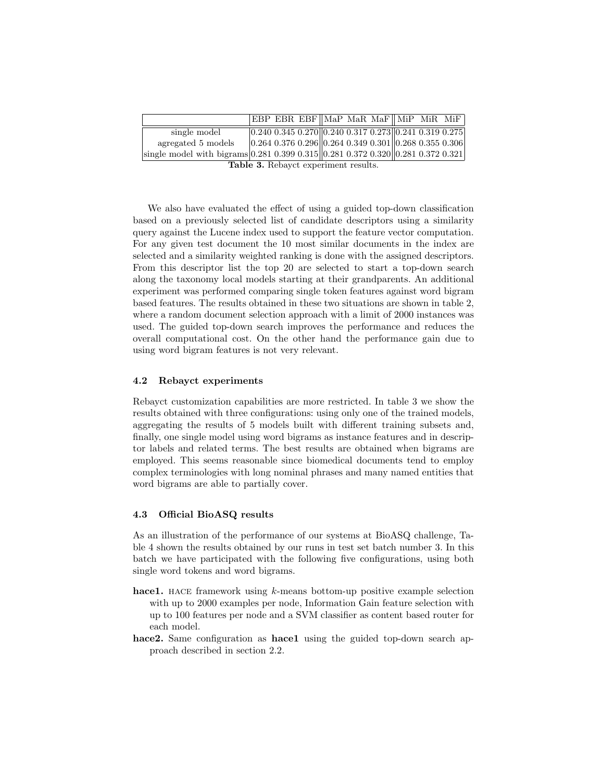|                                                                                 |  |  |  |  |  | $ EBP EBR EBF  MaP MaR MaF  MiP MiR MiF $                                                                     |  |  |  |  |  |
|---------------------------------------------------------------------------------|--|--|--|--|--|---------------------------------------------------------------------------------------------------------------|--|--|--|--|--|
| single model                                                                    |  |  |  |  |  | $0.240 0.345 0.270    0.240 0.317 0.273    0.241 0.319 0.275$                                                 |  |  |  |  |  |
| agregated 5 models                                                              |  |  |  |  |  | $\vert 0.264 \; 0.376 \; 0.296 \vert \vert 0.264 \; 0.349 \; 0.301 \vert \vert 0.268 \; 0.355 \; 0.306 \vert$ |  |  |  |  |  |
| single model with bigrams 0.281 0.399 0.315 0.281 0.372 0.320 0.281 0.372 0.321 |  |  |  |  |  |                                                                                                               |  |  |  |  |  |
| Tablo 3 Repayet experiment reculte                                              |  |  |  |  |  |                                                                                                               |  |  |  |  |  |

Table 3. Rebayct experiment results.

We also have evaluated the effect of using a guided top-down classification based on a previously selected list of candidate descriptors using a similarity query against the Lucene index used to support the feature vector computation. For any given test document the 10 most similar documents in the index are selected and a similarity weighted ranking is done with the assigned descriptors. From this descriptor list the top 20 are selected to start a top-down search along the taxonomy local models starting at their grandparents. An additional experiment was performed comparing single token features against word bigram based features. The results obtained in these two situations are shown in table 2, where a random document selection approach with a limit of 2000 instances was used. The guided top-down search improves the performance and reduces the overall computational cost. On the other hand the performance gain due to using word bigram features is not very relevant.

#### 4.2 Rebayct experiments

Rebayct customization capabilities are more restricted. In table 3 we show the results obtained with three configurations: using only one of the trained models, aggregating the results of 5 models built with different training subsets and, finally, one single model using word bigrams as instance features and in descriptor labels and related terms. The best results are obtained when bigrams are employed. This seems reasonable since biomedical documents tend to employ complex terminologies with long nominal phrases and many named entities that word bigrams are able to partially cover.

#### 4.3 Official BioASQ results

As an illustration of the performance of our systems at BioASQ challenge, Table 4 shown the results obtained by our runs in test set batch number 3. In this batch we have participated with the following five configurations, using both single word tokens and word bigrams.

- hace1. HACE framework using  $k$ -means bottom-up positive example selection with up to 2000 examples per node, Information Gain feature selection with up to 100 features per node and a SVM classifier as content based router for each model.
- hace2. Same configuration as hace1 using the guided top-down search approach described in section 2.2.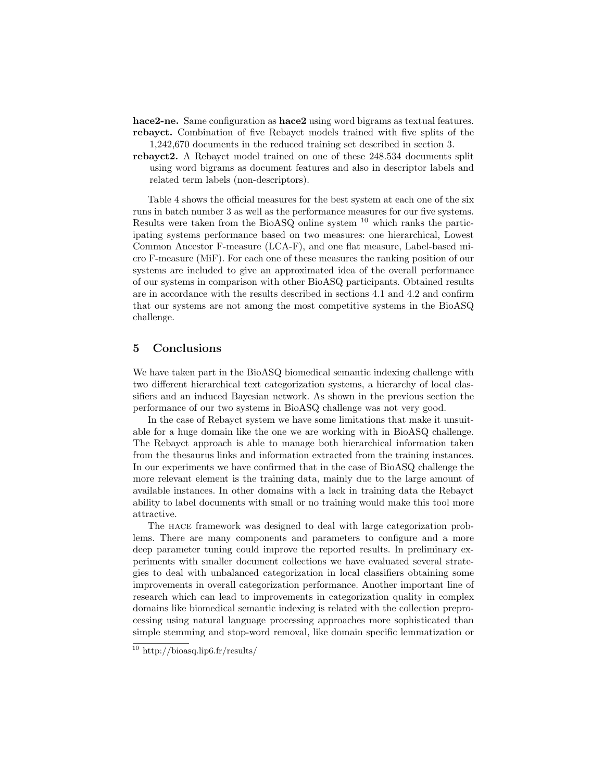hace2-ne. Same configuration as hace2 using word bigrams as textual features. rebayct. Combination of five Rebayct models trained with five splits of the 1,242,670 documents in the reduced training set described in section 3.

rebayct2. A Rebayct model trained on one of these 248.534 documents split using word bigrams as document features and also in descriptor labels and related term labels (non-descriptors).

Table 4 shows the official measures for the best system at each one of the six runs in batch number 3 as well as the performance measures for our five systems. Results were taken from the BioASQ online system <sup>10</sup> which ranks the participating systems performance based on two measures: one hierarchical, Lowest Common Ancestor F-measure (LCA-F), and one flat measure, Label-based micro F-measure (MiF). For each one of these measures the ranking position of our systems are included to give an approximated idea of the overall performance of our systems in comparison with other BioASQ participants. Obtained results are in accordance with the results described in sections 4.1 and 4.2 and confirm that our systems are not among the most competitive systems in the BioASQ challenge.

# 5 Conclusions

We have taken part in the BioASQ biomedical semantic indexing challenge with two different hierarchical text categorization systems, a hierarchy of local classifiers and an induced Bayesian network. As shown in the previous section the performance of our two systems in BioASQ challenge was not very good.

In the case of Rebayct system we have some limitations that make it unsuitable for a huge domain like the one we are working with in BioASQ challenge. The Rebayct approach is able to manage both hierarchical information taken from the thesaurus links and information extracted from the training instances. In our experiments we have confirmed that in the case of BioASQ challenge the more relevant element is the training data, mainly due to the large amount of available instances. In other domains with a lack in training data the Rebayct ability to label documents with small or no training would make this tool more attractive.

The hace framework was designed to deal with large categorization problems. There are many components and parameters to configure and a more deep parameter tuning could improve the reported results. In preliminary experiments with smaller document collections we have evaluated several strategies to deal with unbalanced categorization in local classifiers obtaining some improvements in overall categorization performance. Another important line of research which can lead to improvements in categorization quality in complex domains like biomedical semantic indexing is related with the collection preprocessing using natural language processing approaches more sophisticated than simple stemming and stop-word removal, like domain specific lemmatization or

 $\frac{10 \text{ http://biasq.lip6.fr/results/}}{}$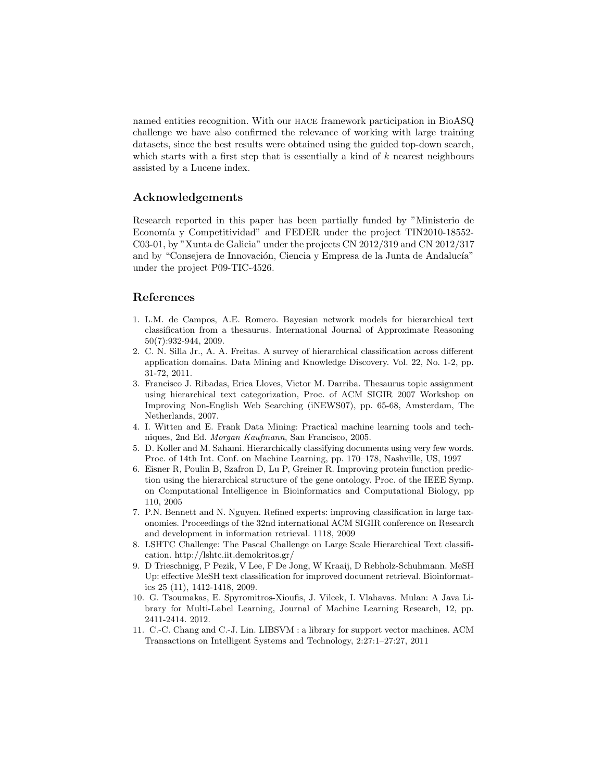named entities recognition. With our hace framework participation in BioASQ challenge we have also confirmed the relevance of working with large training datasets, since the best results were obtained using the guided top-down search, which starts with a first step that is essentially a kind of  $k$  nearest neighbours assisted by a Lucene index.

# Acknowledgements

Research reported in this paper has been partially funded by "Ministerio de Economía y Competitividad" and FEDER under the project TIN2010-18552-C03-01, by "Xunta de Galicia" under the projects CN 2012/319 and CN 2012/317 and by "Consejera de Innovación, Ciencia y Empresa de la Junta de Andalucía" under the project P09-TIC-4526.

### References

- 1. L.M. de Campos, A.E. Romero. Bayesian network models for hierarchical text classification from a thesaurus. International Journal of Approximate Reasoning 50(7):932-944, 2009.
- 2. C. N. Silla Jr., A. A. Freitas. A survey of hierarchical classification across different application domains. Data Mining and Knowledge Discovery. Vol. 22, No. 1-2, pp. 31-72, 2011.
- 3. Francisco J. Ribadas, Erica Lloves, Victor M. Darriba. Thesaurus topic assignment using hierarchical text categorization, Proc. of ACM SIGIR 2007 Workshop on Improving Non-English Web Searching (iNEWS07), pp. 65-68, Amsterdam, The Netherlands, 2007.
- 4. I. Witten and E. Frank Data Mining: Practical machine learning tools and techniques, 2nd Ed. Morgan Kaufmann, San Francisco, 2005.
- 5. D. Koller and M. Sahami. Hierarchically classifying documents using very few words. Proc. of 14th Int. Conf. on Machine Learning, pp. 170–178, Nashville, US, 1997
- 6. Eisner R, Poulin B, Szafron D, Lu P, Greiner R. Improving protein function prediction using the hierarchical structure of the gene ontology. Proc. of the IEEE Symp. on Computational Intelligence in Bioinformatics and Computational Biology, pp 110, 2005
- 7. P.N. Bennett and N. Nguyen. Refined experts: improving classification in large taxonomies. Proceedings of the 32nd international ACM SIGIR conference on Research and development in information retrieval. 1118, 2009
- 8. LSHTC Challenge: The Pascal Challenge on Large Scale Hierarchical Text classification. http://lshtc.iit.demokritos.gr/
- 9. D Trieschnigg, P Pezik, V Lee, F De Jong, W Kraaij, D Rebholz-Schuhmann. MeSH Up: effective MeSH text classification for improved document retrieval. Bioinformatics 25 (11), 1412-1418, 2009.
- 10. G. Tsoumakas, E. Spyromitros-Xioufis, J. Vilcek, I. Vlahavas. Mulan: A Java Library for Multi-Label Learning, Journal of Machine Learning Research, 12, pp. 2411-2414. 2012.
- 11. C.-C. Chang and C.-J. Lin. LIBSVM : a library for support vector machines. ACM Transactions on Intelligent Systems and Technology, 2:27:1–27:27, 2011